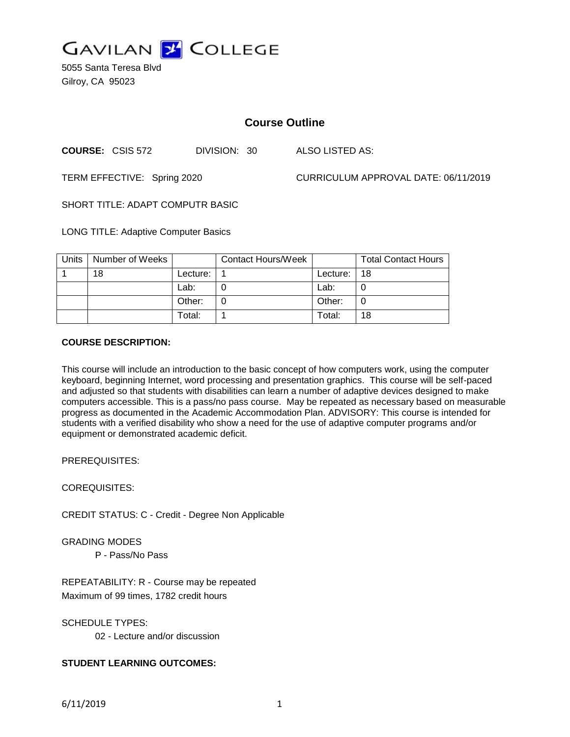

5055 Santa Teresa Blvd Gilroy, CA 95023

# **Course Outline**

**COURSE:** CSIS 572 DIVISION: 30 ALSO LISTED AS:

TERM EFFECTIVE: Spring 2020 CURRICULUM APPROVAL DATE: 06/11/2019

SHORT TITLE: ADAPT COMPUTR BASIC

LONG TITLE: Adaptive Computer Basics

| Units | Number of Weeks |          | <b>Contact Hours/Week</b> |          | <b>Total Contact Hours</b> |
|-------|-----------------|----------|---------------------------|----------|----------------------------|
|       | 18              | Lecture: |                           | Lecture: | 18                         |
|       |                 | Lab:     |                           | Lab:     |                            |
|       |                 | Other:   |                           | Other:   |                            |
|       |                 | Total:   |                           | Total:   | 18                         |

#### **COURSE DESCRIPTION:**

This course will include an introduction to the basic concept of how computers work, using the computer keyboard, beginning Internet, word processing and presentation graphics. This course will be self-paced and adjusted so that students with disabilities can learn a number of adaptive devices designed to make computers accessible. This is a pass/no pass course. May be repeated as necessary based on measurable progress as documented in the Academic Accommodation Plan. ADVISORY: This course is intended for students with a verified disability who show a need for the use of adaptive computer programs and/or equipment or demonstrated academic deficit.

PREREQUISITES:

COREQUISITES:

CREDIT STATUS: C - Credit - Degree Non Applicable

GRADING MODES

P - Pass/No Pass

REPEATABILITY: R - Course may be repeated Maximum of 99 times, 1782 credit hours

SCHEDULE TYPES:

02 - Lecture and/or discussion

# **STUDENT LEARNING OUTCOMES:**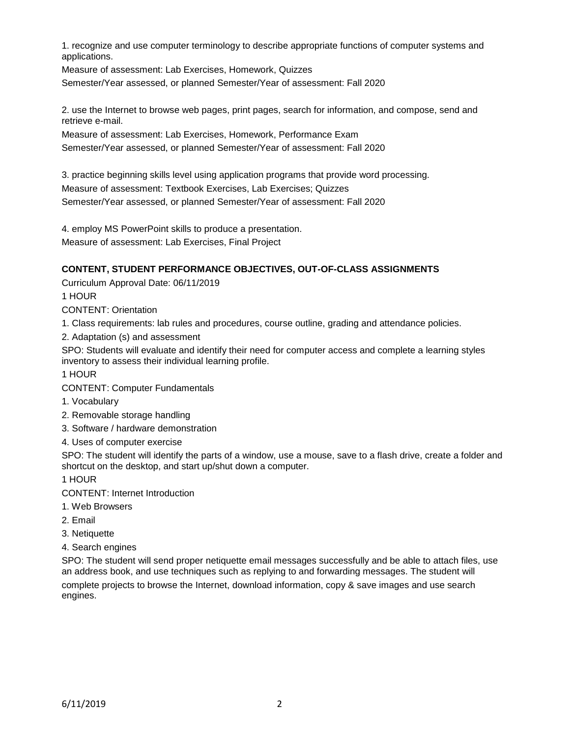1. recognize and use computer terminology to describe appropriate functions of computer systems and applications.

Measure of assessment: Lab Exercises, Homework, Quizzes Semester/Year assessed, or planned Semester/Year of assessment: Fall 2020

2. use the Internet to browse web pages, print pages, search for information, and compose, send and retrieve e-mail.

Measure of assessment: Lab Exercises, Homework, Performance Exam Semester/Year assessed, or planned Semester/Year of assessment: Fall 2020

3. practice beginning skills level using application programs that provide word processing. Measure of assessment: Textbook Exercises, Lab Exercises; Quizzes Semester/Year assessed, or planned Semester/Year of assessment: Fall 2020

4. employ MS PowerPoint skills to produce a presentation. Measure of assessment: Lab Exercises, Final Project

# **CONTENT, STUDENT PERFORMANCE OBJECTIVES, OUT-OF-CLASS ASSIGNMENTS**

Curriculum Approval Date: 06/11/2019

1 HOUR

CONTENT: Orientation

1. Class requirements: lab rules and procedures, course outline, grading and attendance policies.

2. Adaptation (s) and assessment

SPO: Students will evaluate and identify their need for computer access and complete a learning styles inventory to assess their individual learning profile.

1 HOUR

CONTENT: Computer Fundamentals

- 1. Vocabulary
- 2. Removable storage handling
- 3. Software / hardware demonstration

4. Uses of computer exercise

SPO: The student will identify the parts of a window, use a mouse, save to a flash drive, create a folder and shortcut on the desktop, and start up/shut down a computer.

1 HOUR

CONTENT: Internet Introduction

- 1. Web Browsers
- 2. Email
- 3. Netiquette
- 4. Search engines

SPO: The student will send proper netiquette email messages successfully and be able to attach files, use an address book, and use techniques such as replying to and forwarding messages. The student will

complete projects to browse the Internet, download information, copy & save images and use search engines.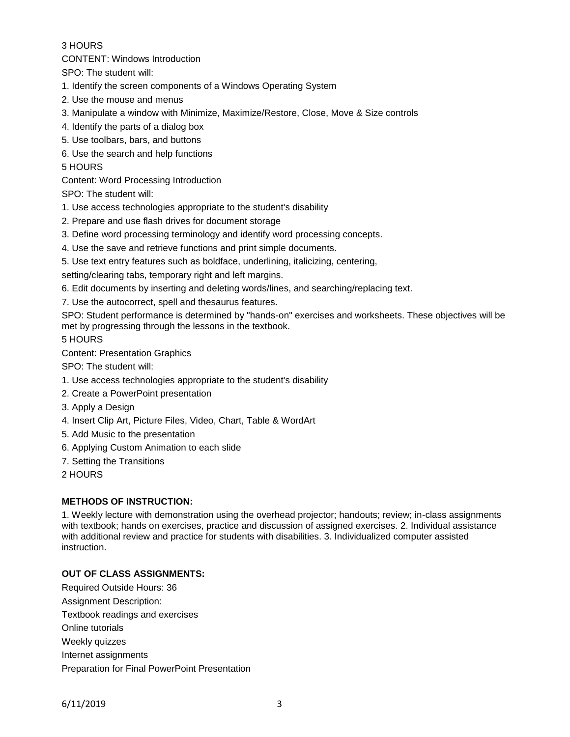### 3 HOURS

CONTENT: Windows Introduction

SPO: The student will:

- 1. Identify the screen components of a Windows Operating System
- 2. Use the mouse and menus
- 3. Manipulate a window with Minimize, Maximize/Restore, Close, Move & Size controls
- 4. Identify the parts of a dialog box
- 5. Use toolbars, bars, and buttons
- 6. Use the search and help functions

#### 5 HOURS

Content: Word Processing Introduction

SPO: The student will:

- 1. Use access technologies appropriate to the student's disability
- 2. Prepare and use flash drives for document storage
- 3. Define word processing terminology and identify word processing concepts.
- 4. Use the save and retrieve functions and print simple documents.
- 5. Use text entry features such as boldface, underlining, italicizing, centering,
- setting/clearing tabs, temporary right and left margins.
- 6. Edit documents by inserting and deleting words/lines, and searching/replacing text.
- 7. Use the autocorrect, spell and thesaurus features.

SPO: Student performance is determined by "hands-on" exercises and worksheets. These objectives will be met by progressing through the lessons in the textbook.

5 HOURS

Content: Presentation Graphics

SPO: The student will:

- 1. Use access technologies appropriate to the student's disability
- 2. Create a PowerPoint presentation
- 3. Apply a Design
- 4. Insert Clip Art, Picture Files, Video, Chart, Table & WordArt
- 5. Add Music to the presentation
- 6. Applying Custom Animation to each slide
- 7. Setting the Transitions
- 2 HOURS

# **METHODS OF INSTRUCTION:**

1. Weekly lecture with demonstration using the overhead projector; handouts; review; in-class assignments with textbook; hands on exercises, practice and discussion of assigned exercises. 2. Individual assistance with additional review and practice for students with disabilities. 3. Individualized computer assisted instruction.

# **OUT OF CLASS ASSIGNMENTS:**

Required Outside Hours: 36 Assignment Description: Textbook readings and exercises Online tutorials Weekly quizzes Internet assignments Preparation for Final PowerPoint Presentation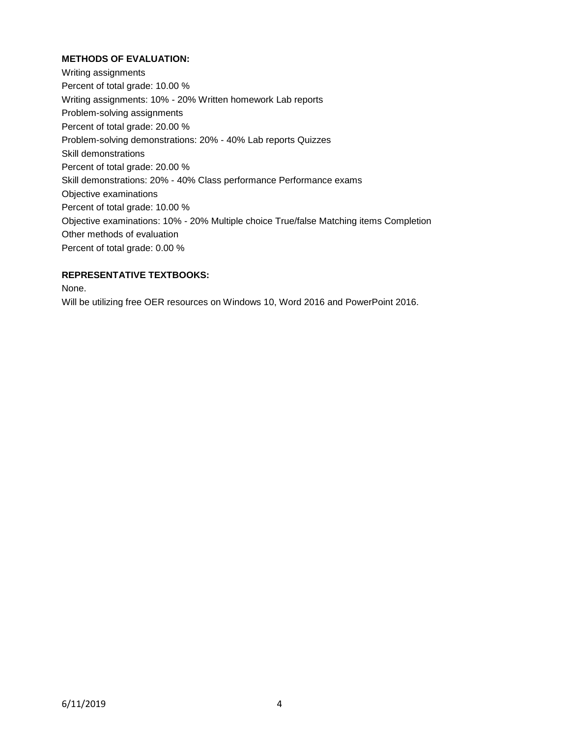# **METHODS OF EVALUATION:**

Writing assignments Percent of total grade: 10.00 % Writing assignments: 10% - 20% Written homework Lab reports Problem-solving assignments Percent of total grade: 20.00 % Problem-solving demonstrations: 20% - 40% Lab reports Quizzes Skill demonstrations Percent of total grade: 20.00 % Skill demonstrations: 20% - 40% Class performance Performance exams Objective examinations Percent of total grade: 10.00 % Objective examinations: 10% - 20% Multiple choice True/false Matching items Completion Other methods of evaluation Percent of total grade: 0.00 %

#### **REPRESENTATIVE TEXTBOOKS:**

None.

Will be utilizing free OER resources on Windows 10, Word 2016 and PowerPoint 2016.